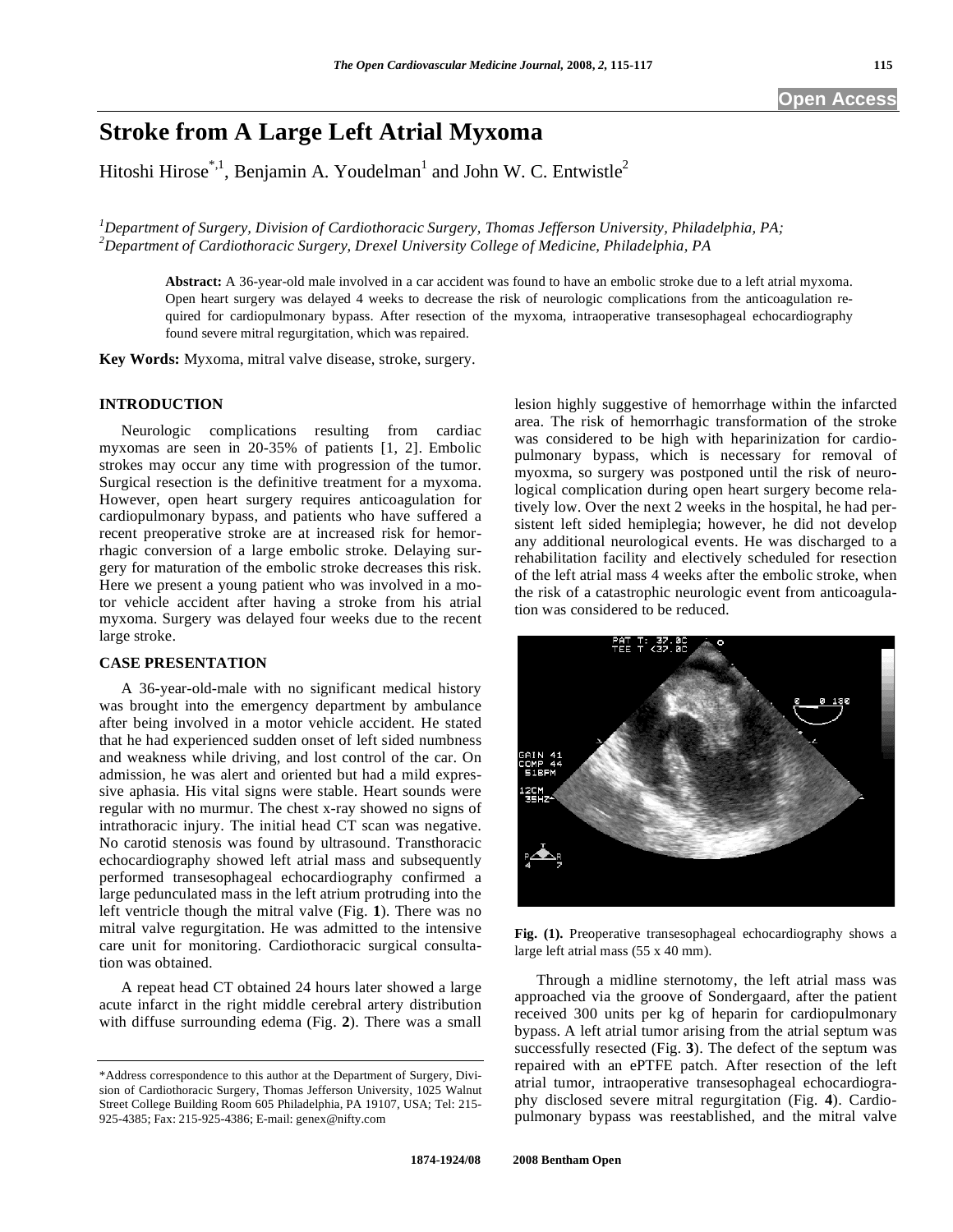# **Stroke from A Large Left Atrial Myxoma**

Hitoshi Hirose\*,<sup>1</sup>, Benjamin A. Youdelman<sup>1</sup> and John W. C. Entwistle<sup>2</sup>

*1 Department of Surgery, Division of Cardiothoracic Surgery, Thomas Jefferson University, Philadelphia, PA; 2 Department of Cardiothoracic Surgery, Drexel University College of Medicine, Philadelphia, PA* 

**Abstract:** A 36-year-old male involved in a car accident was found to have an embolic stroke due to a left atrial myxoma. Open heart surgery was delayed 4 weeks to decrease the risk of neurologic complications from the anticoagulation required for cardiopulmonary bypass. After resection of the myxoma, intraoperative transesophageal echocardiography found severe mitral regurgitation, which was repaired.

**Key Words:** Myxoma, mitral valve disease, stroke, surgery.

### **INTRODUCTION**

 Neurologic complications resulting from cardiac myxomas are seen in 20-35% of patients [1, 2]. Embolic strokes may occur any time with progression of the tumor. Surgical resection is the definitive treatment for a myxoma. However, open heart surgery requires anticoagulation for cardiopulmonary bypass, and patients who have suffered a recent preoperative stroke are at increased risk for hemorrhagic conversion of a large embolic stroke. Delaying surgery for maturation of the embolic stroke decreases this risk. Here we present a young patient who was involved in a motor vehicle accident after having a stroke from his atrial myxoma. Surgery was delayed four weeks due to the recent large stroke.

# **CASE PRESENTATION**

 A 36-year-old-male with no significant medical history was brought into the emergency department by ambulance after being involved in a motor vehicle accident. He stated that he had experienced sudden onset of left sided numbness and weakness while driving, and lost control of the car. On admission, he was alert and oriented but had a mild expressive aphasia. His vital signs were stable. Heart sounds were regular with no murmur. The chest x-ray showed no signs of intrathoracic injury. The initial head CT scan was negative. No carotid stenosis was found by ultrasound. Transthoracic echocardiography showed left atrial mass and subsequently performed transesophageal echocardiography confirmed a large pedunculated mass in the left atrium protruding into the left ventricle though the mitral valve (Fig. **1**). There was no mitral valve regurgitation. He was admitted to the intensive care unit for monitoring. Cardiothoracic surgical consultation was obtained.

 A repeat head CT obtained 24 hours later showed a large acute infarct in the right middle cerebral artery distribution with diffuse surrounding edema (Fig. **2**). There was a small

lesion highly suggestive of hemorrhage within the infarcted area. The risk of hemorrhagic transformation of the stroke was considered to be high with heparinization for cardiopulmonary bypass, which is necessary for removal of myoxma, so surgery was postponed until the risk of neurological complication during open heart surgery become relatively low. Over the next 2 weeks in the hospital, he had persistent left sided hemiplegia; however, he did not develop any additional neurological events. He was discharged to a rehabilitation facility and electively scheduled for resection of the left atrial mass 4 weeks after the embolic stroke, when the risk of a catastrophic neurologic event from anticoagulation was considered to be reduced.



**Fig. (1).** Preoperative transesophageal echocardiography shows a large left atrial mass (55 x 40 mm).

 Through a midline sternotomy, the left atrial mass was approached via the groove of Sondergaard, after the patient received 300 units per kg of heparin for cardiopulmonary bypass. A left atrial tumor arising from the atrial septum was successfully resected (Fig. **3**). The defect of the septum was repaired with an ePTFE patch. After resection of the left atrial tumor, intraoperative transesophageal echocardiography disclosed severe mitral regurgitation (Fig. **4**). Cardiopulmonary bypass was reestablished, and the mitral valve

<sup>\*</sup>Address correspondence to this author at the Department of Surgery, Division of Cardiothoracic Surgery, Thomas Jefferson University, 1025 Walnut Street College Building Room 605 Philadelphia, PA 19107, USA; Tel: 215- 925-4385; Fax: 215-925-4386; E-mail: genex@nifty.com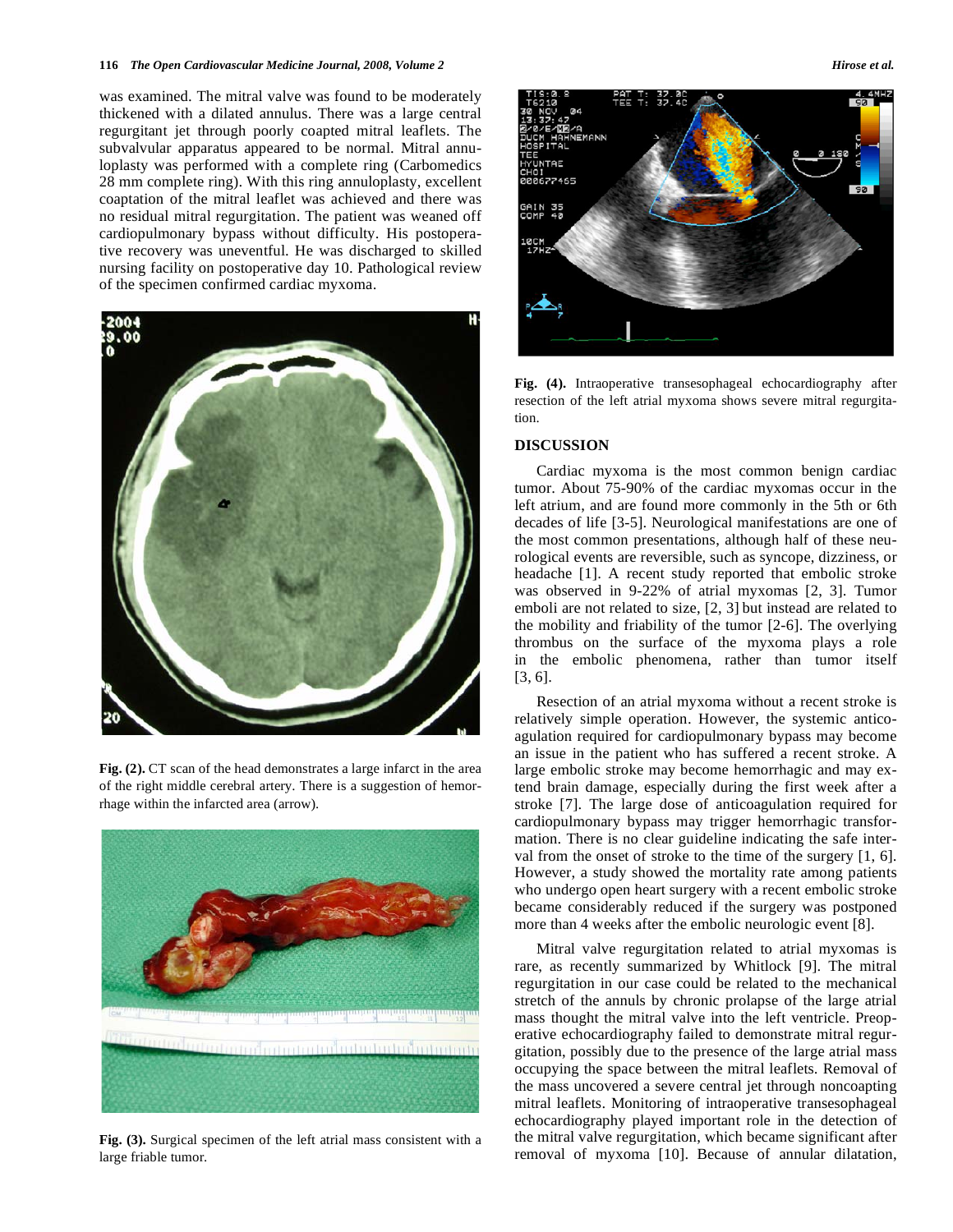#### **116** *The Open Cardiovascular Medicine Journal, 2008, Volume 2* **<b>***Hirose et al. Hirose et al.*

was examined. The mitral valve was found to be moderately thickened with a dilated annulus. There was a large central regurgitant jet through poorly coapted mitral leaflets. The subvalvular apparatus appeared to be normal. Mitral annuloplasty was performed with a complete ring (Carbomedics 28 mm complete ring). With this ring annuloplasty, excellent coaptation of the mitral leaflet was achieved and there was no residual mitral regurgitation. The patient was weaned off cardiopulmonary bypass without difficulty. His postoperative recovery was uneventful. He was discharged to skilled nursing facility on postoperative day 10. Pathological review of the specimen confirmed cardiac myxoma.



**Fig. (2).** CT scan of the head demonstrates a large infarct in the area of the right middle cerebral artery. There is a suggestion of hemorrhage within the infarcted area (arrow).



**Fig. (3).** Surgical specimen of the left atrial mass consistent with a large friable tumor.



**Fig. (4).** Intraoperative transesophageal echocardiography after resection of the left atrial myxoma shows severe mitral regurgitation.

# **DISCUSSION**

 Cardiac myxoma is the most common benign cardiac tumor. About 75-90% of the cardiac myxomas occur in the left atrium, and are found more commonly in the 5th or 6th decades of life [3-5]. Neurological manifestations are one of the most common presentations, although half of these neurological events are reversible, such as syncope, dizziness, or headache [1]. A recent study reported that embolic stroke was observed in 9-22% of atrial myxomas [2, 3]. Tumor emboli are not related to size, [2, 3] but instead are related to the mobility and friability of the tumor [2-6]. The overlying thrombus on the surface of the myxoma plays a role in the embolic phenomena, rather than tumor itself [3, 6].

 Resection of an atrial myxoma without a recent stroke is relatively simple operation. However, the systemic anticoagulation required for cardiopulmonary bypass may become an issue in the patient who has suffered a recent stroke. A large embolic stroke may become hemorrhagic and may extend brain damage, especially during the first week after a stroke [7]. The large dose of anticoagulation required for cardiopulmonary bypass may trigger hemorrhagic transformation. There is no clear guideline indicating the safe interval from the onset of stroke to the time of the surgery [1, 6]. However, a study showed the mortality rate among patients who undergo open heart surgery with a recent embolic stroke became considerably reduced if the surgery was postponed more than 4 weeks after the embolic neurologic event [8].

 Mitral valve regurgitation related to atrial myxomas is rare, as recently summarized by Whitlock [9]. The mitral regurgitation in our case could be related to the mechanical stretch of the annuls by chronic prolapse of the large atrial mass thought the mitral valve into the left ventricle. Preoperative echocardiography failed to demonstrate mitral regurgitation, possibly due to the presence of the large atrial mass occupying the space between the mitral leaflets. Removal of the mass uncovered a severe central jet through noncoapting mitral leaflets. Monitoring of intraoperative transesophageal echocardiography played important role in the detection of the mitral valve regurgitation, which became significant after removal of myxoma [10]. Because of annular dilatation,